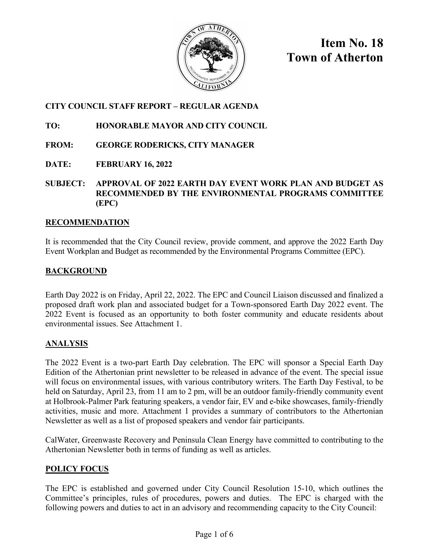

**Item No. 18 Town of Atherton**

## **CITY COUNCIL STAFF REPORT – REGULAR AGENDA**

## **TO: HONORABLE MAYOR AND CITY COUNCIL**

- **FROM: GEORGE RODERICKS, CITY MANAGER**
- **DATE: FEBRUARY 16, 2022**
- **SUBJECT: APPROVAL OF 2022 EARTH DAY EVENT WORK PLAN AND BUDGET AS RECOMMENDED BY THE ENVIRONMENTAL PROGRAMS COMMITTEE (EPC)**

## **RECOMMENDATION**

It is recommended that the City Council review, provide comment, and approve the 2022 Earth Day Event Workplan and Budget as recommended by the Environmental Programs Committee (EPC).

## **BACKGROUND**

Earth Day 2022 is on Friday, April 22, 2022. The EPC and Council Liaison discussed and finalized a proposed draft work plan and associated budget for a Town-sponsored Earth Day 2022 event. The 2022 Event is focused as an opportunity to both foster community and educate residents about environmental issues. See Attachment 1.

## **ANALYSIS**

The 2022 Event is a two-part Earth Day celebration. The EPC will sponsor a Special Earth Day Edition of the Athertonian print newsletter to be released in advance of the event. The special issue will focus on environmental issues, with various contributory writers. The Earth Day Festival, to be held on Saturday, April 23, from 11 am to 2 pm, will be an outdoor family-friendly community event at Holbrook-Palmer Park featuring speakers, a vendor fair, EV and e-bike showcases, family-friendly activities, music and more. Attachment 1 provides a summary of contributors to the Athertonian Newsletter as well as a list of proposed speakers and vendor fair participants.

CalWater, Greenwaste Recovery and Peninsula Clean Energy have committed to contributing to the Athertonian Newsletter both in terms of funding as well as articles.

## **POLICY FOCUS**

The EPC is established and governed under City Council Resolution 15-10, which outlines the Committee's principles, rules of procedures, powers and duties. The EPC is charged with the following powers and duties to act in an advisory and recommending capacity to the City Council: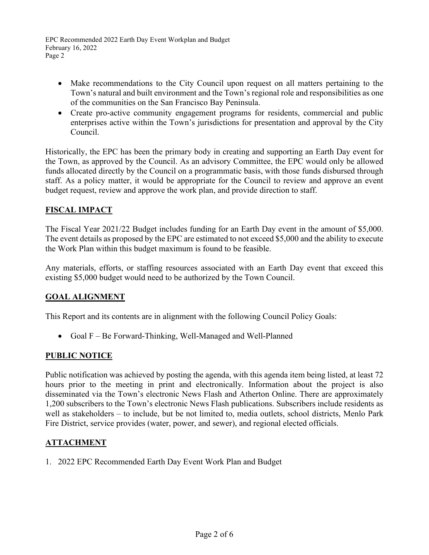- Make recommendations to the City Council upon request on all matters pertaining to the Town's natural and built environment and the Town's regional role and responsibilities as one of the communities on the San Francisco Bay Peninsula.
- Create pro-active community engagement programs for residents, commercial and public enterprises active within the Town's jurisdictions for presentation and approval by the City Council.

Historically, the EPC has been the primary body in creating and supporting an Earth Day event for the Town, as approved by the Council. As an advisory Committee, the EPC would only be allowed funds allocated directly by the Council on a programmatic basis, with those funds disbursed through staff. As a policy matter, it would be appropriate for the Council to review and approve an event budget request, review and approve the work plan, and provide direction to staff.

## **FISCAL IMPACT**

The Fiscal Year 2021/22 Budget includes funding for an Earth Day event in the amount of \$5,000. The event details as proposed by the EPC are estimated to not exceed \$5,000 and the ability to execute the Work Plan within this budget maximum is found to be feasible.

Any materials, efforts, or staffing resources associated with an Earth Day event that exceed this existing \$5,000 budget would need to be authorized by the Town Council.

## **GOAL ALIGNMENT**

This Report and its contents are in alignment with the following Council Policy Goals:

• Goal F – Be Forward-Thinking, Well-Managed and Well-Planned

#### **PUBLIC NOTICE**

Public notification was achieved by posting the agenda, with this agenda item being listed, at least 72 hours prior to the meeting in print and electronically. Information about the project is also disseminated via the Town's electronic News Flash and Atherton Online. There are approximately 1,200 subscribers to the Town's electronic News Flash publications. Subscribers include residents as well as stakeholders – to include, but be not limited to, media outlets, school districts, Menlo Park Fire District, service provides (water, power, and sewer), and regional elected officials.

#### **ATTACHMENT**

1. 2022 EPC Recommended Earth Day Event Work Plan and Budget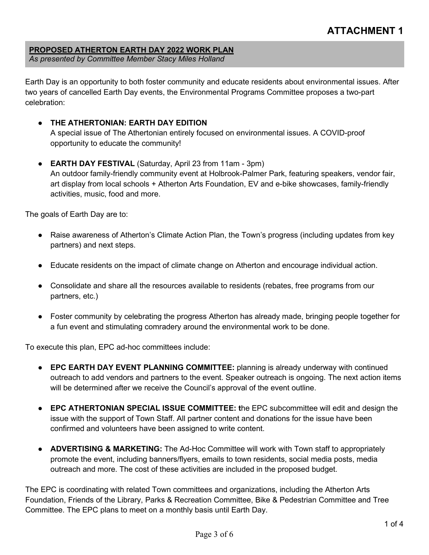## **ATTACHMENT 1**

#### **PROPOSED ATHERTON EARTH DAY 2022 WORK PLAN**

*As presented by Committee Member Stacy Miles Holland* 

Earth Day is an opportunity to both foster community and educate residents about environmental issues. After two years of cancelled Earth Day events, the Environmental Programs Committee proposes a two-part celebration:

#### ● **THE ATHERTONIAN: EARTH DAY EDITION**

A special issue of The Athertonian entirely focused on environmental issues. A COVID-proof opportunity to educate the community!

#### ● **EARTH DAY FESTIVAL** (Saturday, April 23 from 11am - 3pm)

An outdoor family-friendly community event at Holbrook-Palmer Park, featuring speakers, vendor fair, art display from local schools + Atherton Arts Foundation, EV and e-bike showcases, family-friendly activities, music, food and more.

The goals of Earth Day are to:

- Raise awareness of Atherton's Climate Action Plan, the Town's progress (including updates from key partners) and next steps.
- Educate residents on the impact of climate change on Atherton and encourage individual action.
- Consolidate and share all the resources available to residents (rebates, free programs from our partners, etc.)
- Foster community by celebrating the progress Atherton has already made, bringing people together for a fun event and stimulating comradery around the environmental work to be done.

To execute this plan, EPC ad-hoc committees include:

- **EPC EARTH DAY EVENT PLANNING COMMITTEE:** planning is already underway with continued outreach to add vendors and partners to the event. Speaker outreach is ongoing. The next action items will be determined after we receive the Council's approval of the event outline.
- **EPC ATHERTONIAN SPECIAL ISSUE COMMITTEE: t**he EPC subcommittee will edit and design the issue with the support of Town Staff. All partner content and donations for the issue have been confirmed and volunteers have been assigned to write content.
- **ADVERTISING & MARKETING:** The Ad-Hoc Committee will work with Town staff to appropriately promote the event, including banners/flyers, emails to town residents, social media posts, media outreach and more. The cost of these activities are included in the proposed budget.

The EPC is coordinating with related Town committees and organizations, including the Atherton Arts Foundation, Friends of the Library, Parks & Recreation Committee, Bike & Pedestrian Committee and Tree Committee. The EPC plans to meet on a monthly basis until Earth Day.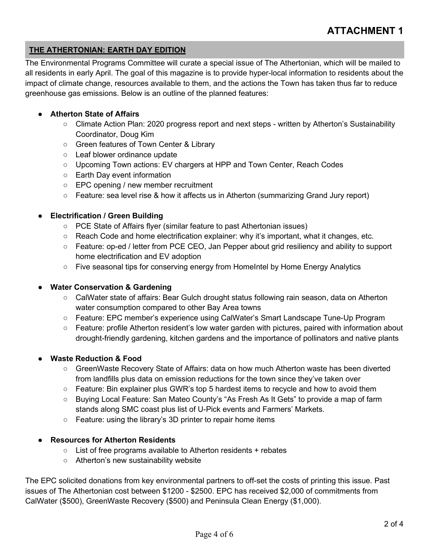## **THE ATHERTONIAN: EARTH DAY EDITION**

The Environmental Programs Committee will curate a special issue of The Athertonian, which will be mailed to all residents in early April. The goal of this magazine is to provide hyper-local information to residents about the impact of climate change, resources available to them, and the actions the Town has taken thus far to reduce greenhouse gas emissions. Below is an outline of the planned features:

#### ● **Atherton State of Affairs**

- Climate Action Plan: 2020 progress report and next steps written by Atherton's Sustainability Coordinator, Doug Kim
- Green features of Town Center & Library
- Leaf blower ordinance update
- Upcoming Town actions: EV chargers at HPP and Town Center, Reach Codes
- Earth Day event information
- EPC opening / new member recruitment
- Feature: sea level rise & how it affects us in Atherton (summarizing Grand Jury report)

#### **Electrification / Green Building**

- PCE State of Affairs flyer (similar feature to past Athertonian issues)
- $\circ$  Reach Code and home electrification explainer: why it's important, what it changes, etc.
- Feature: op-ed / letter from PCE CEO, Jan Pepper about grid resiliency and ability to support home electrification and EV adoption
- Five seasonal tips for conserving energy from HomeIntel by Home Energy Analytics

#### **Water Conservation & Gardening**

- CalWater state of affairs: Bear Gulch drought status following rain season, data on Atherton water consumption compared to other Bay Area towns
- Feature: EPC member's experience using CalWater's Smart Landscape Tune-Up Program
- Feature: profile Atherton resident's low water garden with pictures, paired with information about drought-friendly gardening, kitchen gardens and the importance of pollinators and native plants

#### **Waste Reduction & Food**

- GreenWaste Recovery State of Affairs: data on how much Atherton waste has been diverted from landfills plus data on emission reductions for the town since they've taken over
- Feature: Bin explainer plus GWR's top 5 hardest items to recycle and how to avoid them
- Buying Local Feature: San Mateo County's "As Fresh As It Gets" to provide a map of farm stands along SMC coast plus list of U-Pick events and Farmers' Markets.
- Feature: using the library's 3D printer to repair home items

#### ● **Resources for Atherton Residents**

- List of free programs available to Atherton residents + rebates
- Atherton's new sustainability website

The EPC solicited donations from key environmental partners to off-set the costs of printing this issue. Past issues of The Athertonian cost between \$1200 - \$2500. EPC has received \$2,000 of commitments from CalWater (\$500), GreenWaste Recovery (\$500) and Peninsula Clean Energy (\$1,000).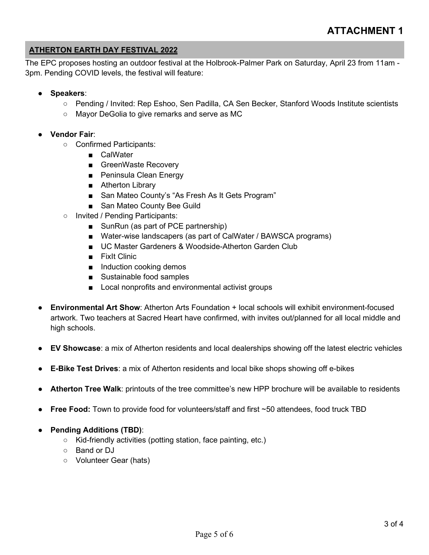#### **ATHERTON EARTH DAY FESTIVAL 2022**

The EPC proposes hosting an outdoor festival at the Holbrook-Palmer Park on Saturday, April 23 from 11am - 3pm. Pending COVID levels, the festival will feature:

- **Speakers**:
	- Pending / Invited: Rep Eshoo, Sen Padilla, CA Sen Becker, Stanford Woods Institute scientists
	- Mayor DeGolia to give remarks and serve as MC
- **Vendor Fair**:
	- Confirmed Participants:
		- CalWater
		- GreenWaste Recovery
		- Peninsula Clean Energy
		- Atherton Library
		- San Mateo County's "As Fresh As It Gets Program"
		- San Mateo County Bee Guild
	- Invited / Pending Participants:
		- SunRun (as part of PCE partnership)
		- Water-wise landscapers (as part of CalWater / BAWSCA programs)
		- UC Master Gardeners & Woodside-Atherton Garden Club
		- FixIt Clinic
		- Induction cooking demos
		- Sustainable food samples
		- Local nonprofits and environmental activist groups
- **Environmental Art Show:** Atherton Arts Foundation + local schools will exhibit environment-focused artwork. Two teachers at Sacred Heart have confirmed, with invites out/planned for all local middle and high schools.
- **EV Showcase**: a mix of Atherton residents and local dealerships showing off the latest electric vehicles
- **E-Bike Test Drives**: a mix of Atherton residents and local bike shops showing off e-bikes
- Atherton Tree Walk: printouts of the tree committee's new HPP brochure will be available to residents
- **Free Food:** Town to provide food for volunteers/staff and first ~50 attendees, food truck TBD
- **Pending Additions (TBD)**:
	- Kid-friendly activities (potting station, face painting, etc.)
	- Band or DJ
	- Volunteer Gear (hats)